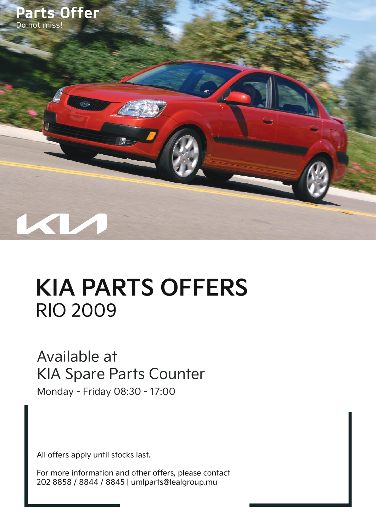

## **KIA PARTS OFFERS** RIO 2009

## Available at KIA Spare Parts Counter

Monday - Friday 08:30 - 17:00

All offers apply until stocks last.

For more information and other offers, please contact 202 8858 / 8844 / 8845 | umlparts@lealgroup.mu